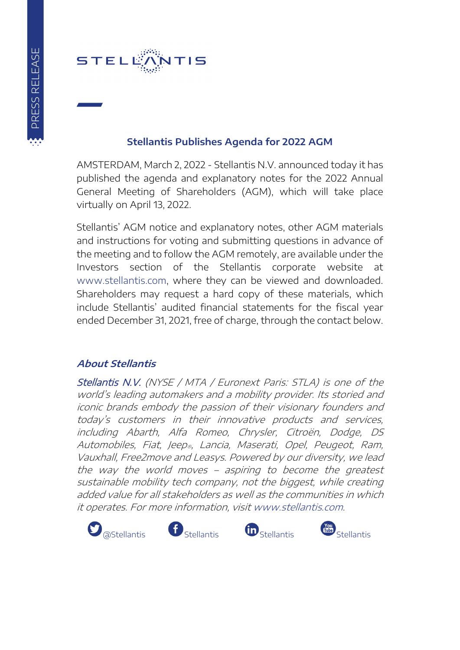

## **Stellantis Publishes Agenda for 2022 AGM**

AMSTERDAM, March 2, 2022 - Stellantis N.V. announced today it has published the agenda and explanatory notes for the 2022 Annual General Meeting of Shareholders (AGM), which will take place virtually on April 13, 2022.

Stellantis' AGM notice and explanatory notes, other AGM materials and instructions for voting and submitting questions in advance of the meeting and to follow the AGM remotely, are available under the Investors section of the Stellantis corporate website at www.stellantis.com, where they can be viewed and downloaded. Shareholders may request a hard copy of these materials, which include Stellantis' audited financial statements for the fiscal year ended December 31, 2021, free of charge, through the contact below.

## **About Stellantis**

Stellantis N.V. (NYSE / MTA / Euronext Paris: STLA) is one of the world's leading automakers and a mobility provider. Its storied and iconic brands embody the passion of their visionary founders and today's customers in their innovative products and services, including Abarth, Alfa Romeo, Chrysler, Citroën, Dodge, DS Automobiles, Fiat, Jeep®, Lancia, Maserati, Opel, Peugeot, Ram, Vauxhall, Free2move and Leasys. Powered by our diversity, we lead the way the world moves – aspiring to become the greatest sustainable mobility tech company, not the biggest, while creating added value for all stakeholders as well as the communities in which it operates. For more information, visi[t www.stellantis.com.](http://www.stellantis.com/en)